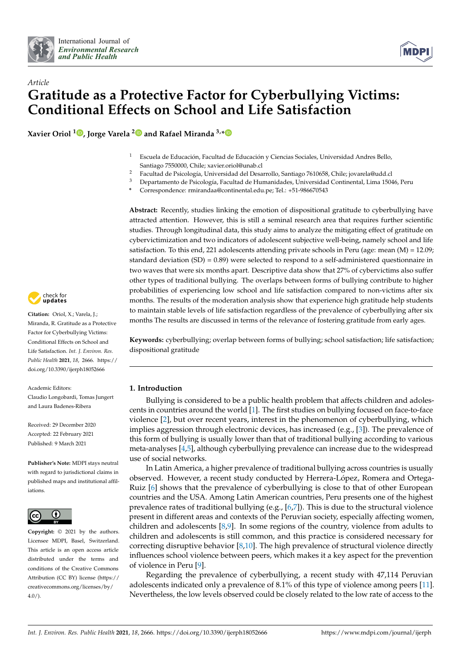



# *Article* **Gratitude as a Protective Factor for Cyberbullying Victims: Conditional Effects on School and Life Satisfaction**

**Xavier Oriol <sup>1</sup> [,](https://orcid.org/0000-0001-7130-7729) Jorge Varela [2](https://orcid.org/0000-0002-3651-9715) and Rafael Miranda 3,[\\*](https://orcid.org/0000-0001-8640-6439)**

- <sup>1</sup> Escuela de Educación, Facultad de Educación y Ciencias Sociales, Universidad Andres Bello, Santiago 7550000, Chile; xavier.oriol@unab.cl
- <sup>2</sup> Facultad de Psicología, Universidad del Desarrollo, Santiago 7610658, Chile; jovarela@udd.cl<br><sup>3</sup> Departemento de Psicología, Facultad de Humanidades, Universidad Continental, Lima 150
- <sup>3</sup> Departamento de Psicología, Facultad de Humanidades, Universidad Continental, Lima 15046, Peru
- **\*** Correspondence: rmirandaa@continental.edu.pe; Tel.: +51-986670543

**Abstract:** Recently, studies linking the emotion of dispositional gratitude to cyberbullying have attracted attention. However, this is still a seminal research area that requires further scientific studies. Through longitudinal data, this study aims to analyze the mitigating effect of gratitude on cybervictimization and two indicators of adolescent subjective well-being, namely school and life satisfaction. To this end, 221 adolescents attending private schools in Peru (age: mean  $(M) = 12.09$ ; standard deviation  $(SD) = 0.89$ ) were selected to respond to a self-administered questionnaire in two waves that were six months apart. Descriptive data show that 27% of cybervictims also suffer other types of traditional bullying. The overlaps between forms of bullying contribute to higher probabilities of experiencing low school and life satisfaction compared to non-victims after six months. The results of the moderation analysis show that experience high gratitude help students to maintain stable levels of life satisfaction regardless of the prevalence of cyberbullying after six months The results are discussed in terms of the relevance of fostering gratitude from early ages.

**Keywords:** cyberbullying; overlap between forms of bullying; school satisfaction; life satisfaction; dispositional gratitude

## **1. Introduction**

Bullying is considered to be a public health problem that affects children and adolescents in countries around the world [\[1\]](#page-11-0). The first studies on bullying focused on face-to-face violence [\[2\]](#page-11-1), but over recent years, interest in the phenomenon of cyberbullying, which implies aggression through electronic devices, has increased (e.g., [\[3\]](#page-11-2)). The prevalence of this form of bullying is usually lower than that of traditional bullying according to various meta-analyses [\[4,](#page-11-3)[5\]](#page-11-4), although cyberbullying prevalence can increase due to the widespread use of social networks.

In Latin America, a higher prevalence of traditional bullying across countries is usually observed. However, a recent study conducted by Herrera-López, Romera and Ortega-Ruiz [\[6\]](#page-11-5) shows that the prevalence of cyberbullying is close to that of other European countries and the USA. Among Latin American countries, Peru presents one of the highest prevalence rates of traditional bullying (e.g., [\[6](#page-11-5)[,7\]](#page-11-6)). This is due to the structural violence present in different areas and contexts of the Peruvian society, especially affecting women, children and adolescents [\[8,](#page-12-0)[9\]](#page-12-1). In some regions of the country, violence from adults to children and adolescents is still common, and this practice is considered necessary for correcting disruptive behavior [\[8](#page-12-0)[,10\]](#page-12-2). The high prevalence of structural violence directly influences school violence between peers, which makes it a key aspect for the prevention of violence in Peru [\[9\]](#page-12-1).

Regarding the prevalence of cyberbullying, a recent study with 47,114 Peruvian adolescents indicated only a prevalence of 8.1% of this type of violence among peers [\[11\]](#page-12-3). Nevertheless, the low levels observed could be closely related to the low rate of access to the



**Citation:** Oriol, X.; Varela, J.; Miranda, R. Gratitude as a Protective Factor for Cyberbullying Victims: Conditional Effects on School and Life Satisfaction. *Int. J. Environ. Res. Public Health* **2021**, *18*, 2666. [https://](https://doi.org/10.3390/ijerph18052666) [doi.org/10.3390/ijerph18052666](https://doi.org/10.3390/ijerph18052666)

Academic Editors:

Claudio Longobardi, Tomas Jungert and Laura Badenes-Ribera

Received: 29 December 2020 Accepted: 22 February 2021 Published: 9 March 2021

**Publisher's Note:** MDPI stays neutral with regard to jurisdictional claims in published maps and institutional affiliations.



**Copyright:** © 2021 by the authors. Licensee MDPI, Basel, Switzerland. This article is an open access article distributed under the terms and conditions of the Creative Commons Attribution (CC BY) license (https:/[/](https://creativecommons.org/licenses/by/4.0/) [creativecommons.org/licenses/by/](https://creativecommons.org/licenses/by/4.0/)  $4.0/$ ).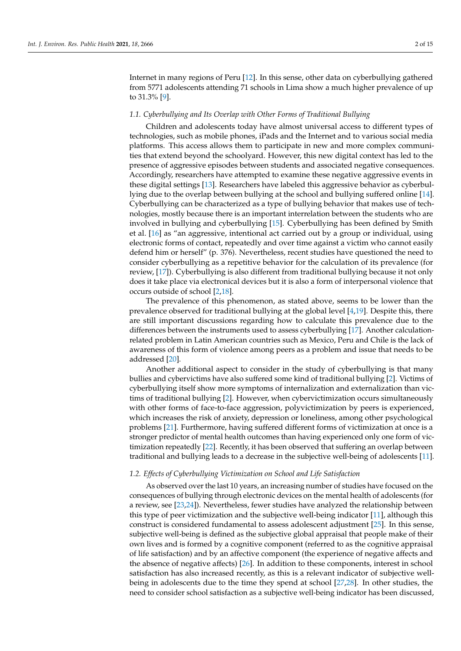Internet in many regions of Peru [\[12\]](#page-12-4). In this sense, other data on cyberbullying gathered from 5771 adolescents attending 71 schools in Lima show a much higher prevalence of up to 31.3% [\[9\]](#page-12-1).

#### *1.1. Cyberbullying and Its Overlap with Other Forms of Traditional Bullying*

Children and adolescents today have almost universal access to different types of technologies, such as mobile phones, iPads and the Internet and to various social media platforms. This access allows them to participate in new and more complex communities that extend beyond the schoolyard. However, this new digital context has led to the presence of aggressive episodes between students and associated negative consequences. Accordingly, researchers have attempted to examine these negative aggressive events in these digital settings [\[13\]](#page-12-5). Researchers have labeled this aggressive behavior as cyberbullying due to the overlap between bullying at the school and bullying suffered online [\[14\]](#page-12-6). Cyberbullying can be characterized as a type of bullying behavior that makes use of technologies, mostly because there is an important interrelation between the students who are involved in bullying and cyberbullying [\[15\]](#page-12-7). Cyberbullying has been defined by Smith et al. [\[16\]](#page-12-8) as "an aggressive, intentional act carried out by a group or individual, using electronic forms of contact, repeatedly and over time against a victim who cannot easily defend him or herself" (p. 376). Nevertheless, recent studies have questioned the need to consider cyberbullying as a repetitive behavior for the calculation of its prevalence (for review, [\[17\]](#page-12-9)). Cyberbullying is also different from traditional bullying because it not only does it take place via electronical devices but it is also a form of interpersonal violence that occurs outside of school [\[2,](#page-11-1)[18\]](#page-12-10).

The prevalence of this phenomenon, as stated above, seems to be lower than the prevalence observed for traditional bullying at the global level [\[4](#page-11-3)[,19\]](#page-12-11). Despite this, there are still important discussions regarding how to calculate this prevalence due to the differences between the instruments used to assess cyberbullying [\[17\]](#page-12-9). Another calculationrelated problem in Latin American countries such as Mexico, Peru and Chile is the lack of awareness of this form of violence among peers as a problem and issue that needs to be addressed [\[20\]](#page-12-12).

Another additional aspect to consider in the study of cyberbullying is that many bullies and cybervictims have also suffered some kind of traditional bullying [\[2\]](#page-11-1). Victims of cyberbullying itself show more symptoms of internalization and externalization than victims of traditional bullying [\[2\]](#page-11-1). However, when cybervictimization occurs simultaneously with other forms of face-to-face aggression, polyvictimization by peers is experienced, which increases the risk of anxiety, depression or loneliness, among other psychological problems [\[21\]](#page-12-13). Furthermore, having suffered different forms of victimization at once is a stronger predictor of mental health outcomes than having experienced only one form of victimization repeatedly [\[22\]](#page-12-14). Recently, it has been observed that suffering an overlap between traditional and bullying leads to a decrease in the subjective well-being of adolescents [\[11\]](#page-12-3).

#### *1.2. Effects of Cyberbullying Victimization on School and Life Satisfaction*

As observed over the last 10 years, an increasing number of studies have focused on the consequences of bullying through electronic devices on the mental health of adolescents (for a review, see [\[23,](#page-12-15)[24\]](#page-12-16)). Nevertheless, fewer studies have analyzed the relationship between this type of peer victimization and the subjective well-being indicator [\[11\]](#page-12-3), although this construct is considered fundamental to assess adolescent adjustment [\[25\]](#page-12-17). In this sense, subjective well-being is defined as the subjective global appraisal that people make of their own lives and is formed by a cognitive component (referred to as the cognitive appraisal of life satisfaction) and by an affective component (the experience of negative affects and the absence of negative affects) [\[26\]](#page-12-18). In addition to these components, interest in school satisfaction has also increased recently, as this is a relevant indicator of subjective wellbeing in adolescents due to the time they spend at school [\[27](#page-12-19)[,28\]](#page-12-20). In other studies, the need to consider school satisfaction as a subjective well-being indicator has been discussed,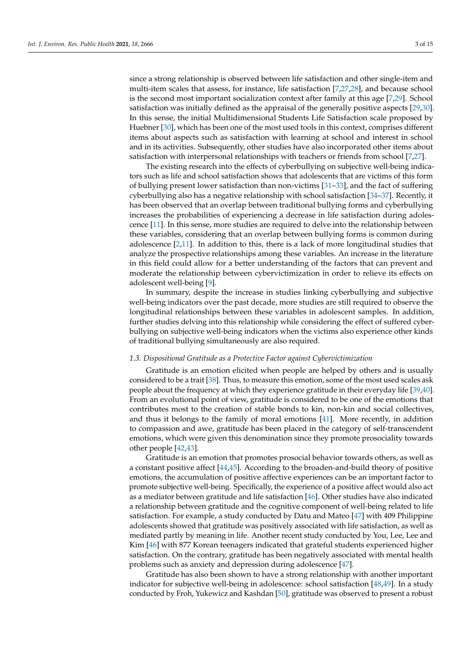since a strong relationship is observed between life satisfaction and other single-item and multi-item scales that assess, for instance, life satisfaction [\[7,](#page-11-6)[27](#page-12-19)[,28\]](#page-12-20), and because school is the second most important socialization context after family at this age [\[7](#page-11-6)[,29\]](#page-12-21). School satisfaction was initially defined as the appraisal of the generally positive aspects [\[29,](#page-12-21)[30\]](#page-12-22). In this sense, the initial Multidimensional Students Life Satisfaction scale proposed by Huebner [\[30\]](#page-12-22), which has been one of the most used tools in this context, comprises different items about aspects such as satisfaction with learning at school and interest in school and in its activities. Subsequently, other studies have also incorporated other items about satisfaction with interpersonal relationships with teachers or friends from school [\[7](#page-11-6)[,27\]](#page-12-19).

The existing research into the effects of cyberbullying on subjective well-being indicators such as life and school satisfaction shows that adolescents that are victims of this form of bullying present lower satisfaction than non-victims [\[31–](#page-12-23)[33\]](#page-12-24), and the fact of suffering cyberbullying also has a negative relationship with school satisfaction [\[34–](#page-12-25)[37\]](#page-13-0). Recently, it has been observed that an overlap between traditional bullying forms and cyberbullying increases the probabilities of experiencing a decrease in life satisfaction during adolescence [\[11\]](#page-12-3). In this sense, more studies are required to delve into the relationship between these variables, considering that an overlap between bullying forms is common during adolescence [\[2](#page-11-1)[,11\]](#page-12-3). In addition to this, there is a lack of more longitudinal studies that analyze the prospective relationships among these variables. An increase in the literature in this field could allow for a better understanding of the factors that can prevent and moderate the relationship between cybervictimization in order to relieve its effects on adolescent well-being [\[9\]](#page-12-1).

In summary, despite the increase in studies linking cyberbullying and subjective well-being indicators over the past decade, more studies are still required to observe the longitudinal relationships between these variables in adolescent samples. In addition, further studies delving into this relationship while considering the effect of suffered cyberbullying on subjective well-being indicators when the victims also experience other kinds of traditional bullying simultaneously are also required.

## *1.3. Dispositional Gratitude as a Protective Factor against Cybervictimization*

Gratitude is an emotion elicited when people are helped by others and is usually considered to be a trait [\[38\]](#page-13-1). Thus, to measure this emotion, some of the most used scales ask people about the frequency at which they experience gratitude in their everyday life [\[39](#page-13-2)[,40\]](#page-13-3). From an evolutional point of view, gratitude is considered to be one of the emotions that contributes most to the creation of stable bonds to kin, non-kin and social collectives, and thus it belongs to the family of moral emotions [\[41\]](#page-13-4). More recently, in addition to compassion and awe, gratitude has been placed in the category of self-transcendent emotions, which were given this denomination since they promote prosociality towards other people [\[42,](#page-13-5)[43\]](#page-13-6).

Gratitude is an emotion that promotes prosocial behavior towards others, as well as a constant positive affect [\[44](#page-13-7)[,45\]](#page-13-8). According to the broaden-and-build theory of positive emotions, the accumulation of positive affective experiences can be an important factor to promote subjective well-being. Specifically, the experience of a positive affect would also act as a mediator between gratitude and life satisfaction [\[46\]](#page-13-9). Other studies have also indicated a relationship between gratitude and the cognitive component of well-being related to life satisfaction. For example, a study conducted by Datu and Mateo [\[47\]](#page-13-10) with 409 Philippine adolescents showed that gratitude was positively associated with life satisfaction, as well as mediated partly by meaning in life. Another recent study conducted by You, Lee, Lee and Kim [\[46\]](#page-13-9) with 877 Korean teenagers indicated that grateful students experienced higher satisfaction. On the contrary, gratitude has been negatively associated with mental health problems such as anxiety and depression during adolescence [\[47\]](#page-13-10).

Gratitude has also been shown to have a strong relationship with another important indicator for subjective well-being in adolescence: school satisfaction [\[48,](#page-13-11)[49\]](#page-13-12). In a study conducted by Froh, Yukewicz and Kashdan [\[50\]](#page-13-13), gratitude was observed to present a robust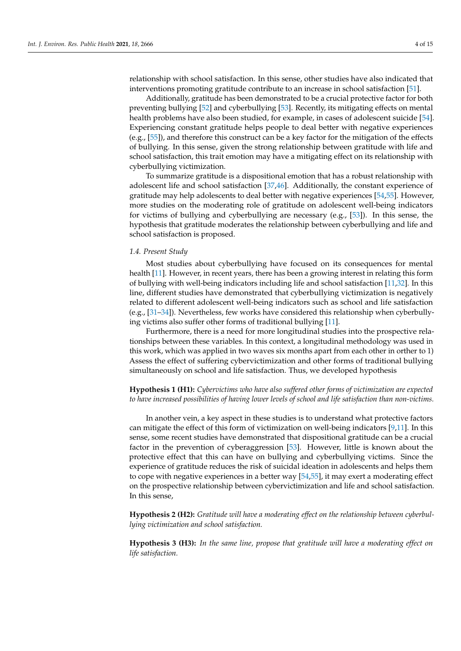relationship with school satisfaction. In this sense, other studies have also indicated that interventions promoting gratitude contribute to an increase in school satisfaction [\[51\]](#page-13-14).

Additionally, gratitude has been demonstrated to be a crucial protective factor for both preventing bullying [\[52\]](#page-13-15) and cyberbullying [\[53\]](#page-13-16). Recently, its mitigating effects on mental health problems have also been studied, for example, in cases of adolescent suicide [\[54\]](#page-13-17). Experiencing constant gratitude helps people to deal better with negative experiences (e.g., [\[55\]](#page-13-18)), and therefore this construct can be a key factor for the mitigation of the effects of bullying. In this sense, given the strong relationship between gratitude with life and school satisfaction, this trait emotion may have a mitigating effect on its relationship with cyberbullying victimization.

To summarize gratitude is a dispositional emotion that has a robust relationship with adolescent life and school satisfaction [\[37](#page-13-0)[,46\]](#page-13-9). Additionally, the constant experience of gratitude may help adolescents to deal better with negative experiences [\[54,](#page-13-17)[55\]](#page-13-18). However, more studies on the moderating role of gratitude on adolescent well-being indicators for victims of bullying and cyberbullying are necessary (e.g., [\[53\]](#page-13-16)). In this sense, the hypothesis that gratitude moderates the relationship between cyberbullying and life and school satisfaction is proposed.

#### *1.4. Present Study*

Most studies about cyberbullying have focused on its consequences for mental health [\[11\]](#page-12-3). However, in recent years, there has been a growing interest in relating this form of bullying with well-being indicators including life and school satisfaction [\[11](#page-12-3)[,32\]](#page-12-26). In this line, different studies have demonstrated that cyberbullying victimization is negatively related to different adolescent well-being indicators such as school and life satisfaction (e.g., [\[31](#page-12-23)[–34\]](#page-12-25)). Nevertheless, few works have considered this relationship when cyberbullying victims also suffer other forms of traditional bullying [\[11\]](#page-12-3).

Furthermore, there is a need for more longitudinal studies into the prospective relationships between these variables. In this context, a longitudinal methodology was used in this work, which was applied in two waves six months apart from each other in orther to 1) Assess the effect of suffering cybervictimization and other forms of traditional bullying simultaneously on school and life satisfaction. Thus, we developed hypothesis

**Hypothesis 1 (H1):** *Cybervictims who have also suffered other forms of victimization are expected to have increased possibilities of having lower levels of school and life satisfaction than non-victims.*

In another vein, a key aspect in these studies is to understand what protective factors can mitigate the effect of this form of victimization on well-being indicators [\[9,](#page-12-1)[11\]](#page-12-3). In this sense, some recent studies have demonstrated that dispositional gratitude can be a crucial factor in the prevention of cyberaggression [\[53\]](#page-13-16). However, little is known about the protective effect that this can have on bullying and cyberbullying victims. Since the experience of gratitude reduces the risk of suicidal ideation in adolescents and helps them to cope with negative experiences in a better way [\[54,](#page-13-17)[55\]](#page-13-18), it may exert a moderating effect on the prospective relationship between cybervictimization and life and school satisfaction. In this sense,

**Hypothesis 2 (H2):** *Gratitude will have a moderating effect on the relationship between cyberbullying victimization and school satisfaction.*

**Hypothesis 3 (H3):** *In the same line, propose that gratitude will have a moderating effect on life satisfaction.*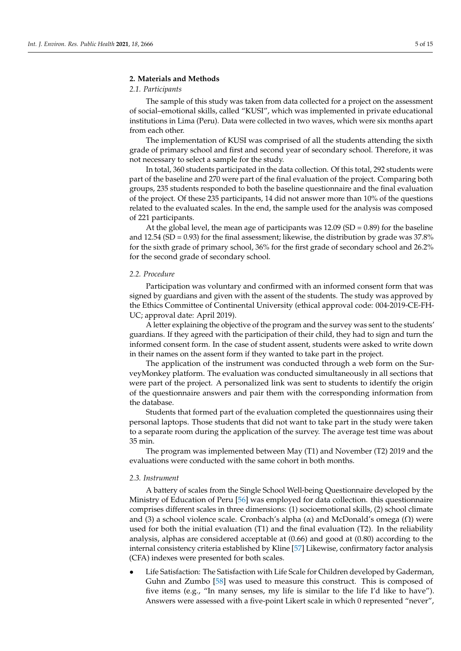#### **2. Materials and Methods**

## *2.1. Participants*

The sample of this study was taken from data collected for a project on the assessment of social–emotional skills, called "KUSI", which was implemented in private educational institutions in Lima (Peru). Data were collected in two waves, which were six months apart from each other.

The implementation of KUSI was comprised of all the students attending the sixth grade of primary school and first and second year of secondary school. Therefore, it was not necessary to select a sample for the study.

In total, 360 students participated in the data collection. Of this total, 292 students were part of the baseline and 270 were part of the final evaluation of the project. Comparing both groups, 235 students responded to both the baseline questionnaire and the final evaluation of the project. Of these 235 participants, 14 did not answer more than 10% of the questions related to the evaluated scales. In the end, the sample used for the analysis was composed of 221 participants.

At the global level, the mean age of participants was  $12.09$  (SD = 0.89) for the baseline and 12.54 (SD =  $0.93$ ) for the final assessment; likewise, the distribution by grade was 37.8% for the sixth grade of primary school, 36% for the first grade of secondary school and 26.2% for the second grade of secondary school.

#### *2.2. Procedure*

Participation was voluntary and confirmed with an informed consent form that was signed by guardians and given with the assent of the students. The study was approved by the Ethics Committee of Continental University (ethical approval code: 004-2019-CE-FH-UC; approval date: April 2019).

A letter explaining the objective of the program and the survey was sent to the students' guardians. If they agreed with the participation of their child, they had to sign and turn the informed consent form. In the case of student assent, students were asked to write down in their names on the assent form if they wanted to take part in the project.

The application of the instrument was conducted through a web form on the SurveyMonkey platform. The evaluation was conducted simultaneously in all sections that were part of the project. A personalized link was sent to students to identify the origin of the questionnaire answers and pair them with the corresponding information from the database.

Students that formed part of the evaluation completed the questionnaires using their personal laptops. Those students that did not want to take part in the study were taken to a separate room during the application of the survey. The average test time was about 35 min.

The program was implemented between May (T1) and November (T2) 2019 and the evaluations were conducted with the same cohort in both months.

### *2.3. Instrument*

A battery of scales from the Single School Well-being Questionnaire developed by the Ministry of Education of Peru [\[56\]](#page-13-19) was employed for data collection. this questionnaire comprises different scales in three dimensions: (1) socioemotional skills, (2) school climate and (3) a school violence scale. Cronbach's alpha ( $\alpha$ ) and McDonald's omega ( $\Omega$ ) were used for both the initial evaluation (T1) and the final evaluation (T2). In the reliability analysis, alphas are considered acceptable at (0.66) and good at (0.80) according to the internal consistency criteria established by Kline [\[57\]](#page-13-20) Likewise, confirmatory factor analysis (CFA) indexes were presented for both scales.

• Life Satisfaction: The Satisfaction with Life Scale for Children developed by Gaderman, Guhn and Zumbo [\[58\]](#page-13-21) was used to measure this construct. This is composed of five items (e.g., "In many senses, my life is similar to the life I'd like to have"). Answers were assessed with a five-point Likert scale in which 0 represented "never",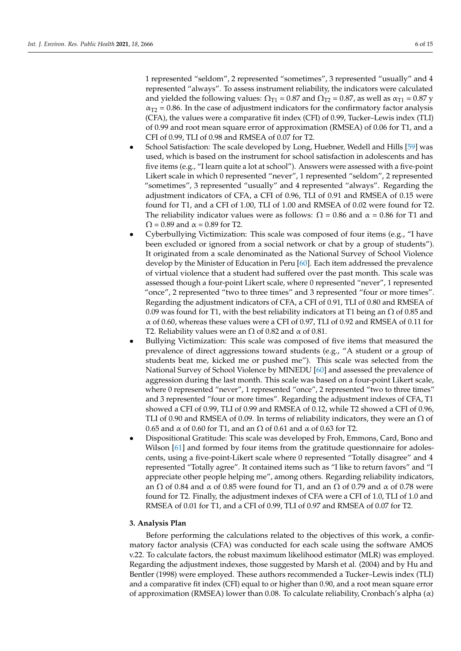1 represented "seldom", 2 represented "sometimes", 3 represented "usually" and 4 represented "always". To assess instrument reliability, the indicators were calculated and yielded the following values:  $\Omega_{T1} = 0.87$  and  $\Omega_{T2} = 0.87$ , as well as  $\alpha_{T1} = 0.87$  y  $\alpha_{T2}$  = 0.86. In the case of adjustment indicators for the confirmatory factor analysis (CFA), the values were a comparative fit index (CFI) of 0.99, Tucker–Lewis index (TLI) of 0.99 and root mean square error of approximation (RMSEA) of 0.06 for T1, and a CFI of 0.99, TLI of 0.98 and RMSEA of 0.07 for T2.

- School Satisfaction: The scale developed by Long, Huebner, Wedell and Hills [\[59\]](#page-13-22) was used, which is based on the instrument for school satisfaction in adolescents and has five items (e.g., "I learn quite a lot at school"). Answers were assessed with a five-point Likert scale in which 0 represented "never", 1 represented "seldom", 2 represented "sometimes", 3 represented "usually" and 4 represented "always". Regarding the adjustment indicators of CFA, a CFI of 0.96, TLI of 0.91 and RMSEA of 0.15 were found for T1, and a CFI of 1.00, TLI of 1.00 and RMSEA of 0.02 were found for T2. The reliability indicator values were as follows:  $\Omega = 0.86$  and  $\alpha = 0.86$  for T1 and  $\Omega$  = 0.89 and  $\alpha$  = 0.89 for T2.
- Cyberbullying Victimization: This scale was composed of four items (e.g., "I have been excluded or ignored from a social network or chat by a group of students"). It originated from a scale denominated as the National Survey of School Violence develop by the Minister of Education in Peru [\[60\]](#page-13-23). Each item addressed the prevalence of virtual violence that a student had suffered over the past month. This scale was assessed though a four-point Likert scale, where 0 represented "never", 1 represented "once", 2 represented "two to three times" and 3 represented "four or more times". Regarding the adjustment indicators of CFA, a CFI of 0.91, TLI of 0.80 and RMSEA of 0.09 was found for T1, with the best reliability indicators at T1 being an  $\Omega$  of 0.85 and  $\alpha$  of 0.60, whereas these values were a CFI of 0.97, TLI of 0.92 and RMSEA of 0.11 for T2. Reliability values were an  $\Omega$  of 0.82 and  $\alpha$  of 0.81.
- Bullying Victimization: This scale was composed of five items that measured the prevalence of direct aggressions toward students (e.g., "A student or a group of students beat me, kicked me or pushed me"). This scale was selected from the National Survey of School Violence by MINEDU [\[60\]](#page-13-23) and assessed the prevalence of aggression during the last month. This scale was based on a four-point Likert scale, where 0 represented "never", 1 represented "once", 2 represented "two to three times" and 3 represented "four or more times". Regarding the adjustment indexes of CFA, T1 showed a CFI of 0.99, TLI of 0.99 and RMSEA of 0.12, while T2 showed a CFI of 0.96, TLI of 0.90 and RMSEA of 0.09. In terms of reliability indicators, they were an  $\Omega$  of 0.65 and  $\alpha$  of 0.60 for T1, and an  $\Omega$  of 0.61 and  $\alpha$  of 0.63 for T2.
- Dispositional Gratitude: This scale was developed by Froh, Emmons, Card, Bono and Wilson [\[61\]](#page-13-24) and formed by four items from the gratitude questionnaire for adolescents, using a five-point-Likert scale where 0 represented "Totally disagree" and 4 represented "Totally agree". It contained items such as "I like to return favors" and "I appreciate other people helping me", among others. Regarding reliability indicators, an  $Ω$  of 0.84 and  $α$  of 0.85 were found for T1, and an  $Ω$  of 0.79 and  $α$  of 0.78 were found for T2. Finally, the adjustment indexes of CFA were a CFI of 1.0, TLI of 1.0 and RMSEA of 0.01 for T1, and a CFI of 0.99, TLI of 0.97 and RMSEA of 0.07 for T2.

## **3. Analysis Plan**

Before performing the calculations related to the objectives of this work, a confirmatory factor analysis (CFA) was conducted for each scale using the software AMOS v.22. To calculate factors, the robust maximum likelihood estimator (MLR) was employed. Regarding the adjustment indexes, those suggested by Marsh et al. (2004) and by Hu and Bentler (1998) were employed. These authors recommended a Tucker–Lewis index (TLI) and a comparative fit index (CFI) equal to or higher than 0.90, and a root mean square error of approximation (RMSEA) lower than 0.08. To calculate reliability, Cronbach's alpha  $(\alpha)$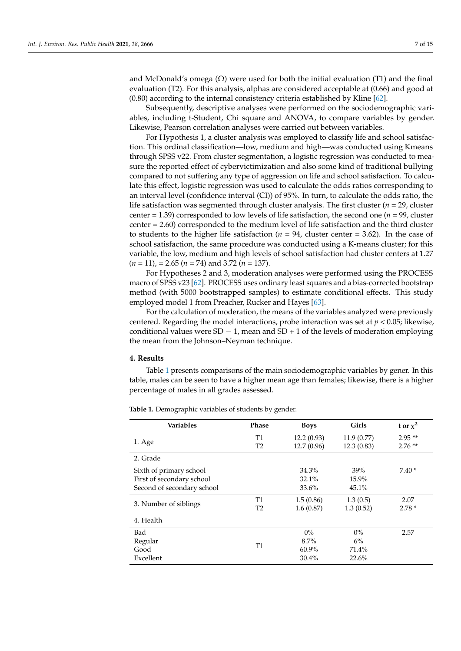and McDonald's omega  $(\Omega)$  were used for both the initial evaluation (T1) and the final evaluation (T2). For this analysis, alphas are considered acceptable at (0.66) and good at  $(0.80)$  according to the internal consistency criteria established by Kline  $[62]$ .

Subsequently, descriptive analyses were performed on the sociodemographic variables, including t-Student, Chi square and ANOVA, to compare variables by gender. Likewise, Pearson correlation analyses were carried out between variables.

For Hypothesis 1, a cluster analysis was employed to classify life and school satisfaction. This ordinal classification—low, medium and high—was conducted using Kmeans through SPSS v22. From cluster segmentation, a logistic regression was conducted to measure the reported effect of cybervictimization and also some kind of traditional bullying compared to not suffering any type of aggression on life and school satisfaction. To calculate this effect, logistic regression was used to calculate the odds ratios corresponding to an interval level (confidence interval (CI)) of 95%. In turn, to calculate the odds ratio, the life satisfaction was segmented through cluster analysis. The first cluster (*n* = 29, cluster center = 1.39) corresponded to low levels of life satisfaction, the second one ( $n = 99$ , cluster center = 2.60) corresponded to the medium level of life satisfaction and the third cluster to students to the higher life satisfaction ( $n = 94$ , cluster center = 3.62). In the case of school satisfaction, the same procedure was conducted using a K-means cluster; for this variable, the low, medium and high levels of school satisfaction had cluster centers at 1.27 (*n* = 11), = 2.65 (*n* = 74) and 3.72 (*n* = 137).

For Hypotheses 2 and 3, moderation analyses were performed using the PROCESS macro of SPSS v23 [\[62\]](#page-13-25). PROCESS uses ordinary least squares and a bias-corrected bootstrap method (with 5000 bootstrapped samples) to estimate conditional effects. This study employed model 1 from Preacher, Rucker and Hayes [\[63\]](#page-13-26).

For the calculation of moderation, the means of the variables analyzed were previously centered. Regarding the model interactions, probe interaction was set at *p* < 0.05; likewise, conditional values were  $SD - 1$ , mean and  $SD + 1$  of the levels of moderation employing the mean from the Johnson–Neyman technique.

#### **4. Results**

Table [1](#page-7-0) presents comparisons of the main sociodemographic variables by gener. In this table, males can be seen to have a higher mean age than females; likewise, there is a higher percentage of males in all grades assessed.

| <b>Variables</b>           | <b>Phase</b>   | <b>Boys</b> | Girls      | t or $\chi^2$ |
|----------------------------|----------------|-------------|------------|---------------|
|                            | <b>T1</b>      | 12.2(0.93)  | 11.9(0.77) | $2.95**$      |
| 1. Age                     | T <sub>2</sub> | 12.7(0.96)  | 12.3(0.83) | $2.76**$      |
| 2. Grade                   |                |             |            |               |
| Sixth of primary school    |                | 34.3%       | 39%        | $7.40*$       |
| First of secondary school  |                | 32.1%       | 15.9%      |               |
| Second of secondary school |                | 33.6%       | 45.1%      |               |
|                            | T1             | 1.5(0.86)   | 1.3(0.5)   | 2.07          |
| 3. Number of siblings      | T <sub>2</sub> | 1.6(0.87)   | 1.3(0.52)  | $2.78*$       |
| 4. Health                  |                |             |            |               |
| Bad                        |                | $0\%$       | $0\%$      | 2.57          |
| Regular                    |                | 8.7%        | 6%         |               |
| Good                       | T <sub>1</sub> | $60.9\%$    | 71.4%      |               |
| Excellent                  |                | 30.4%       | 22.6%      |               |

**Table 1.** Demographic variables of students by gender.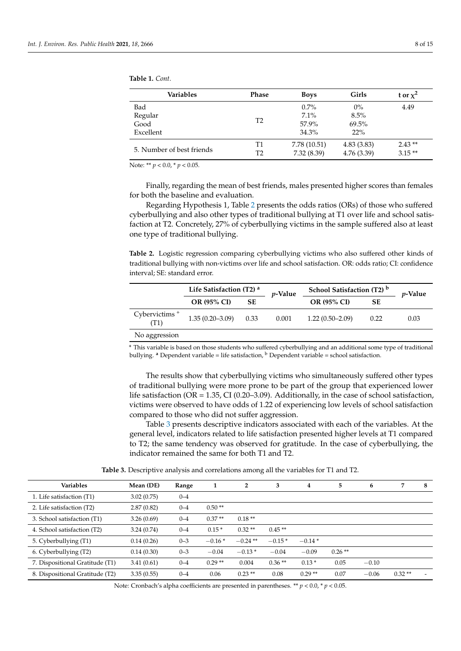<span id="page-7-0"></span>

| <b>Table 1.</b> Cont. |  |  |
|-----------------------|--|--|
|                       |  |  |

| Phase | <b>Boys</b>    | Girls      | t or $\chi^2$ |
|-------|----------------|------------|---------------|
|       | $0.7\%$        | $0\%$      | 4.49          |
|       | $7.1\%$        | 8.5%       |               |
|       | 57.9%          | 69.5%      |               |
|       | 34.3%          | 22%        |               |
| Τ1    | 7.78 (10.51)   | 4.83(3.83) | $2.43**$      |
| T2    | 7.32(8.39)     | 4.76(3.39) | $3.15**$      |
|       | T <sub>2</sub> |            |               |

Note: \*\* *p* < 0.0, \* *p* < 0.05.

Finally, regarding the mean of best friends, males presented higher scores than females for both the baseline and evaluation.

Regarding Hypothesis 1, Table [2](#page-7-1) presents the odds ratios (ORs) of those who suffered cyberbullying and also other types of traditional bullying at T1 over life and school satisfaction at T2. Concretely, 27% of cyberbullying victims in the sample suffered also at least one type of traditional bullying.

<span id="page-7-1"></span>**Table 2.** Logistic regression comparing cyberbullying victims who also suffered other kinds of traditional bullying with non-victims over life and school satisfaction. OR: odds ratio; CI: confidence interval; SE: standard error.

|                          | Life Satisfaction (T2) <sup>a</sup> |  | <i>v</i> -Value                 | School Satisfaction (T2) b | <i>v</i> -Value |      |
|--------------------------|-------------------------------------|--|---------------------------------|----------------------------|-----------------|------|
|                          | OR (95% CI)<br><b>SE</b>            |  | <b>SE</b><br><b>OR (95% CI)</b> |                            |                 |      |
| Cybervictims $+$<br>(T1) | $1.35(0.20-3.09)$ 0.33              |  | 0.001                           | $1.22(0.50-2.09)$          | 0.22            | 0.03 |
| No aggression            |                                     |  |                                 |                            |                 |      |

**<sup>+</sup>** This variable is based on those students who suffered cyberbullying and an additional some type of traditional bullying. <sup>a</sup> Dependent variable = life satisfaction, <sup>b</sup> Dependent variable = school satisfaction.

The results show that cyberbullying victims who simultaneously suffered other types of traditional bullying were more prone to be part of the group that experienced lower life satisfaction ( $OR = 1.35$ ,  $CI (0.20–3.09)$ . Additionally, in the case of school satisfaction, victims were observed to have odds of 1.22 of experiencing low levels of school satisfaction compared to those who did not suffer aggression.

Table [3](#page-7-2) presents descriptive indicators associated with each of the variables. At the general level, indicators related to life satisfaction presented higher levels at T1 compared to T2; the same tendency was observed for gratitude. In the case of cyberbullying, the indicator remained the same for both T1 and T2.

**Table 3.** Descriptive analysis and correlations among all the variables for T1 and T2.

<span id="page-7-2"></span>

| Variables                       | Mean (DE)  | Range   | 1        | $\overline{2}$ | 3        | 4        | 5        | 6       | 7        | 8                        |
|---------------------------------|------------|---------|----------|----------------|----------|----------|----------|---------|----------|--------------------------|
| 1. Life satisfaction (T1)       | 3.02(0.75) | $0 - 4$ |          |                |          |          |          |         |          |                          |
| 2. Life satisfaction (T2)       | 2.87(0.82) | $0 - 4$ | $0.50**$ |                |          |          |          |         |          |                          |
| 3. School satisfaction (T1)     | 3.26(0.69) | $0 - 4$ | $0.37**$ | $0.18**$       |          |          |          |         |          |                          |
| 4. School satisfaction (T2)     | 3.24(0.74) | $0 - 4$ | $0.15*$  | $0.32**$       | $0.45**$ |          |          |         |          |                          |
| 5. Cyberbullying (T1)           | 0.14(0.26) | $0 - 3$ | $-0.16*$ | $-0.24$ **     | $-0.15*$ | $-0.14*$ |          |         |          |                          |
| 6. Cyberbullying (T2)           | 0.14(0.30) | $0 - 3$ | $-0.04$  | $-0.13*$       | $-0.04$  | $-0.09$  | $0.26**$ |         |          |                          |
| 7. Dispositional Gratitude (T1) | 3.41(0.61) | $0 - 4$ | $0.29**$ | 0.004          | $0.36**$ | $0.13*$  | 0.05     | $-0.10$ |          |                          |
| 8. Dispositional Gratitude (T2) | 3.35(0.55) | $0 - 4$ | 0.06     | $0.23**$       | 0.08     | $0.29**$ | 0.07     | $-0.06$ | $0.32**$ | $\overline{\phantom{0}}$ |

Note: Cronbach's alpha coefficients are presented in parentheses. \*\* *p* < 0.0, \* *p* < 0.05.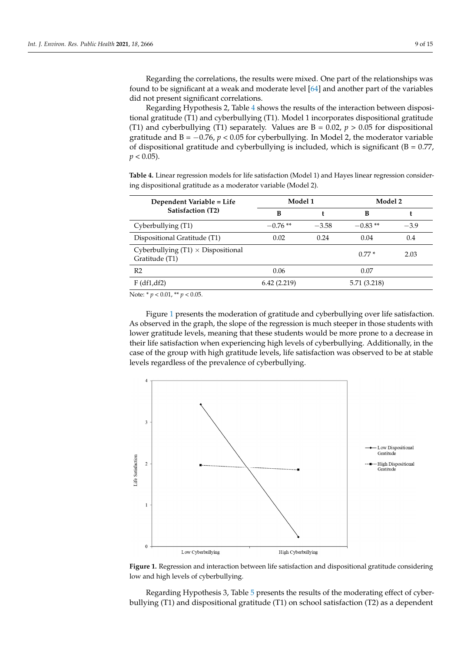Regarding the correlations, the results were mixed. One part of the relationships was found to be significant at a weak and moderate level [\[64\]](#page-13-27) and another part of the variables did not present significant correlations.

Regarding Hypothesis 2, Table [4](#page-8-0) shows the results of the interaction between dispositional gratitude (T1) and cyberbullying (T1). Model 1 incorporates dispositional gratitude (T1) and cyberbullying (T1) separately. Values are  $B = 0.02$ ,  $p > 0.05$  for dispositional gratitude and  $B = -0.76$ ,  $p < 0.05$  for cyberbullying. In Model 2, the moderator variable of dispositional gratitude and cyberbullying is included, which is significant (B = 0.77,  $p < 0.05$ ).

> <span id="page-8-0"></span>**Table 4.** Linear regression models for life satisfaction (Model 1) and Hayes linear regression considering dispositional gratitude as a moderator variable (Model 2).

| Dependent Variable = Life                                   | Model 1     |              | Model 2   |        |  |
|-------------------------------------------------------------|-------------|--------------|-----------|--------|--|
| Satisfaction (T2)                                           | В           |              | в         |        |  |
| Cyberbullying (T1)                                          | $-0.76**$   | $-3.58$      | $-0.83**$ | $-3.9$ |  |
| Dispositional Gratitude (T1)                                | 0.02        | 0.24         | 0.04      | 0.4    |  |
| Cyberbullying $(T1) \times$ Dispositional<br>Gratitude (T1) |             |              | $0.77*$   | 2.03   |  |
| R <sub>2</sub>                                              | 0.06        |              | 0.07      |        |  |
| F(df1, df2)                                                 | 6.42(2.219) | 5.71 (3.218) |           |        |  |
| Note: * $p < 0.01$ , ** $p < 0.05$ .                        |             |              |           |        |  |

Figure [1](#page-8-1) presents the moderation of gratitude and cyberbullying over life satisfaction. As observed in the graph, the slope of the regression is much steeper in those students with Figure 1 presents the moderation of gratitude and cyberbullying over life satisfaction. lower gratitude levels, meaning that these students would be more prone to a decrease in<br>with lower gratitude levels, meaning that these students would be more prone to a decrease in their life satisfaction when experiencing high levels of cyberbullying. Additionally, in the case of the group with high gratitude levels, life satisfaction was observed to be at stable levels regardless of the prevalence of cyberbullying. As observed in the graph, the slope of the regression is much steeper in those students

<span id="page-8-1"></span>

Figure 1. Regression and interaction between life satisfaction and dispositional gratitude considering low and high levels of cyberbullying.

Regarding Hypothesis 3, Tabl[e 5](#page-9-0) presents the results of the moderating effect of cyberbullying (T1) and dispositional gratitude (T1) on school satisfaction (T2) as a dependent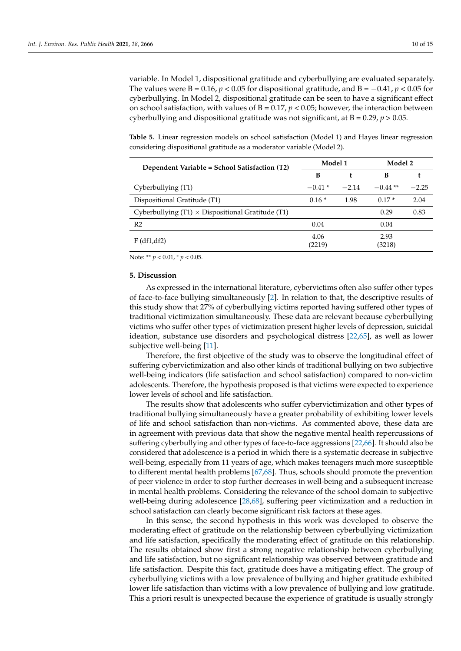variable. In Model 1, dispositional gratitude and cyberbullying are evaluated separately. The values were B =  $0.16$ ,  $p < 0.05$  for dispositional gratitude, and B =  $-0.41$ ,  $p < 0.05$  for cyberbullying. In Model 2, dispositional gratitude can be seen to have a significant effect on school satisfaction, with values of  $B = 0.17$ ,  $p < 0.05$ ; however, the interaction between cyberbullying and dispositional gratitude was not significant, at  $B = 0.29$ ,  $p > 0.05$ .

<span id="page-9-0"></span>**Table 5.** Linear regression models on school satisfaction (Model 1) and Hayes linear regression considering dispositional gratitude as a moderator variable (Model 2).

| Dependent Variable = School Satisfaction (T2)              | Model 1        |         | Model 2        |         |  |
|------------------------------------------------------------|----------------|---------|----------------|---------|--|
|                                                            | в              |         | в              |         |  |
| Cyberbullying (T1)                                         | $-0.41*$       | $-2.14$ | $-0.44**$      | $-2.25$ |  |
| Dispositional Gratitude (T1)                               | $0.16*$        | 1.98    | $0.17*$        | 2.04    |  |
| Cyberbullying $(T1) \times$ Dispositional Gratitude $(T1)$ |                |         | 0.29           | 0.83    |  |
| R <sub>2</sub>                                             | 0.04           |         | 0.04           |         |  |
| $F$ (df1,df2)                                              | 4.06<br>(2219) |         | 2.93<br>(3218) |         |  |

Note: \*\* *p* < 0.01, \* *p* < 0.05.

#### **5. Discussion**

As expressed in the international literature, cybervictims often also suffer other types of face-to-face bullying simultaneously [\[2\]](#page-11-1). In relation to that, the descriptive results of this study show that 27% of cyberbullying victims reported having suffered other types of traditional victimization simultaneously. These data are relevant because cyberbullying victims who suffer other types of victimization present higher levels of depression, suicidal ideation, substance use disorders and psychological distress [\[22,](#page-12-14)[65\]](#page-13-28), as well as lower subjective well-being [\[11\]](#page-12-3).

Therefore, the first objective of the study was to observe the longitudinal effect of suffering cybervictimization and also other kinds of traditional bullying on two subjective well-being indicators (life satisfaction and school satisfaction) compared to non-victim adolescents. Therefore, the hypothesis proposed is that victims were expected to experience lower levels of school and life satisfaction.

The results show that adolescents who suffer cybervictimization and other types of traditional bullying simultaneously have a greater probability of exhibiting lower levels of life and school satisfaction than non-victims. As commented above, these data are in agreement with previous data that show the negative mental health repercussions of suffering cyberbullying and other types of face-to-face aggressions [\[22](#page-12-14)[,66\]](#page-14-0). It should also be considered that adolescence is a period in which there is a systematic decrease in subjective well-being, especially from 11 years of age, which makes teenagers much more susceptible to different mental health problems [\[67,](#page-14-1)[68\]](#page-14-2). Thus, schools should promote the prevention of peer violence in order to stop further decreases in well-being and a subsequent increase in mental health problems. Considering the relevance of the school domain to subjective well-being during adolescence [\[28,](#page-12-20)[68\]](#page-14-2), suffering peer victimization and a reduction in school satisfaction can clearly become significant risk factors at these ages.

In this sense, the second hypothesis in this work was developed to observe the moderating effect of gratitude on the relationship between cyberbullying victimization and life satisfaction, specifically the moderating effect of gratitude on this relationship. The results obtained show first a strong negative relationship between cyberbullying and life satisfaction, but no significant relationship was observed between gratitude and life satisfaction. Despite this fact, gratitude does have a mitigating effect. The group of cyberbullying victims with a low prevalence of bullying and higher gratitude exhibited lower life satisfaction than victims with a low prevalence of bullying and low gratitude. This a priori result is unexpected because the experience of gratitude is usually strongly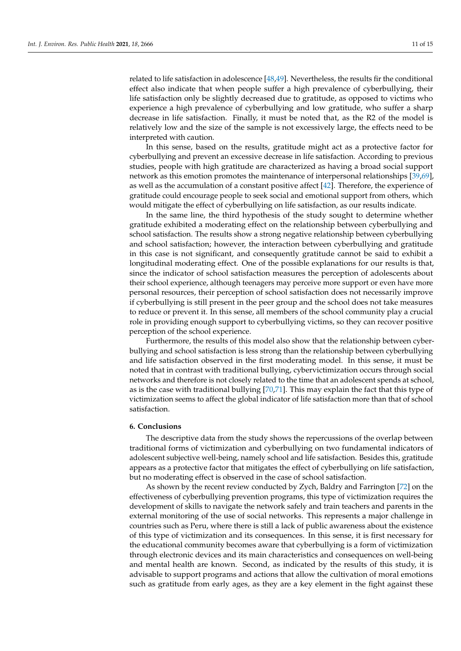related to life satisfaction in adolescence [\[48](#page-13-11)[,49\]](#page-13-12). Nevertheless, the results fir the conditional effect also indicate that when people suffer a high prevalence of cyberbullying, their life satisfaction only be slightly decreased due to gratitude, as opposed to victims who experience a high prevalence of cyberbullying and low gratitude, who suffer a sharp decrease in life satisfaction. Finally, it must be noted that, as the R2 of the model is relatively low and the size of the sample is not excessively large, the effects need to be interpreted with caution.

In this sense, based on the results, gratitude might act as a protective factor for cyberbullying and prevent an excessive decrease in life satisfaction. According to previous studies, people with high gratitude are characterized as having a broad social support network as this emotion promotes the maintenance of interpersonal relationships [\[39,](#page-13-2)[69\]](#page-14-3), as well as the accumulation of a constant positive affect [\[42\]](#page-13-5). Therefore, the experience of gratitude could encourage people to seek social and emotional support from others, which would mitigate the effect of cyberbullying on life satisfaction, as our results indicate.

In the same line, the third hypothesis of the study sought to determine whether gratitude exhibited a moderating effect on the relationship between cyberbullying and school satisfaction. The results show a strong negative relationship between cyberbullying and school satisfaction; however, the interaction between cyberbullying and gratitude in this case is not significant, and consequently gratitude cannot be said to exhibit a longitudinal moderating effect. One of the possible explanations for our results is that, since the indicator of school satisfaction measures the perception of adolescents about their school experience, although teenagers may perceive more support or even have more personal resources, their perception of school satisfaction does not necessarily improve if cyberbullying is still present in the peer group and the school does not take measures to reduce or prevent it. In this sense, all members of the school community play a crucial role in providing enough support to cyberbullying victims, so they can recover positive perception of the school experience.

Furthermore, the results of this model also show that the relationship between cyberbullying and school satisfaction is less strong than the relationship between cyberbullying and life satisfaction observed in the first moderating model. In this sense, it must be noted that in contrast with traditional bullying, cybervictimization occurs through social networks and therefore is not closely related to the time that an adolescent spends at school, as is the case with traditional bullying [\[70](#page-14-4)[,71\]](#page-14-5). This may explain the fact that this type of victimization seems to affect the global indicator of life satisfaction more than that of school satisfaction.

## **6. Conclusions**

The descriptive data from the study shows the repercussions of the overlap between traditional forms of victimization and cyberbullying on two fundamental indicators of adolescent subjective well-being, namely school and life satisfaction. Besides this, gratitude appears as a protective factor that mitigates the effect of cyberbullying on life satisfaction, but no moderating effect is observed in the case of school satisfaction.

As shown by the recent review conducted by Zych, Baldry and Farrington [\[72\]](#page-14-6) on the effectiveness of cyberbullying prevention programs, this type of victimization requires the development of skills to navigate the network safely and train teachers and parents in the external monitoring of the use of social networks. This represents a major challenge in countries such as Peru, where there is still a lack of public awareness about the existence of this type of victimization and its consequences. In this sense, it is first necessary for the educational community becomes aware that cyberbullying is a form of victimization through electronic devices and its main characteristics and consequences on well-being and mental health are known. Second, as indicated by the results of this study, it is advisable to support programs and actions that allow the cultivation of moral emotions such as gratitude from early ages, as they are a key element in the fight against these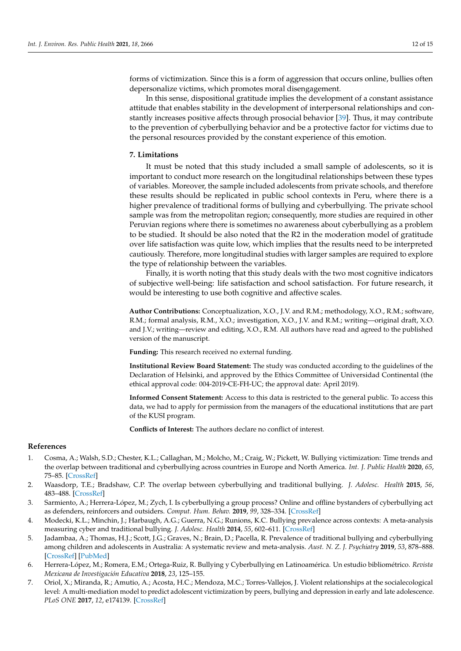forms of victimization. Since this is a form of aggression that occurs online, bullies often depersonalize victims, which promotes moral disengagement.

In this sense, dispositional gratitude implies the development of a constant assistance attitude that enables stability in the development of interpersonal relationships and constantly increases positive affects through prosocial behavior [\[39\]](#page-13-2). Thus, it may contribute to the prevention of cyberbullying behavior and be a protective factor for victims due to the personal resources provided by the constant experience of this emotion.

#### **7. Limitations**

It must be noted that this study included a small sample of adolescents, so it is important to conduct more research on the longitudinal relationships between these types of variables. Moreover, the sample included adolescents from private schools, and therefore these results should be replicated in public school contexts in Peru, where there is a higher prevalence of traditional forms of bullying and cyberbullying. The private school sample was from the metropolitan region; consequently, more studies are required in other Peruvian regions where there is sometimes no awareness about cyberbullying as a problem to be studied. It should be also noted that the R2 in the moderation model of gratitude over life satisfaction was quite low, which implies that the results need to be interpreted cautiously. Therefore, more longitudinal studies with larger samples are required to explore the type of relationship between the variables.

Finally, it is worth noting that this study deals with the two most cognitive indicators of subjective well-being: life satisfaction and school satisfaction. For future research, it would be interesting to use both cognitive and affective scales.

**Author Contributions:** Conceptualization, X.O., J.V. and R.M.; methodology, X.O., R.M.; software, R.M.; formal analysis, R.M., X.O.; investigation, X.O., J.V. and R.M.; writing—original draft, X.O. and J.V.; writing—review and editing, X.O., R.M. All authors have read and agreed to the published version of the manuscript.

**Funding:** This research received no external funding.

**Institutional Review Board Statement:** The study was conducted according to the guidelines of the Declaration of Helsinki, and approved by the Ethics Committee of Universidad Continental (the ethical approval code: 004-2019-CE-FH-UC; the approval date: April 2019).

**Informed Consent Statement:** Access to this data is restricted to the general public. To access this data, we had to apply for permission from the managers of the educational institutions that are part of the KUSI program.

**Conflicts of Interest:** The authors declare no conflict of interest.

#### **References**

- <span id="page-11-0"></span>1. Cosma, A.; Walsh, S.D.; Chester, K.L.; Callaghan, M.; Molcho, M.; Craig, W.; Pickett, W. Bullying victimization: Time trends and the overlap between traditional and cyberbullying across countries in Europe and North America. *Int. J. Public Health* **2020**, *65*, 75–85. [\[CrossRef\]](http://doi.org/10.1007/s00038-019-01320-2)
- <span id="page-11-1"></span>2. Waasdorp, T.E.; Bradshaw, C.P. The overlap between cyberbullying and traditional bullying. *J. Adolesc. Health* **2015**, *56*, 483–488. [\[CrossRef\]](http://doi.org/10.1016/j.jadohealth.2014.12.002)
- <span id="page-11-2"></span>3. Sarmiento, A.; Herrera-López, M.; Zych, I. Is cyberbullying a group process? Online and offline bystanders of cyberbullying act as defenders, reinforcers and outsiders. *Comput. Hum. Behav.* **2019**, *99*, 328–334. [\[CrossRef\]](http://doi.org/10.1016/j.chb.2019.05.037)
- <span id="page-11-3"></span>4. Modecki, K.L.; Minchin, J.; Harbaugh, A.G.; Guerra, N.G.; Runions, K.C. Bullying prevalence across contexts: A meta-analysis measuring cyber and traditional bullying. *J. Adolesc. Health* **2014**, *55*, 602–611. [\[CrossRef\]](http://doi.org/10.1016/j.jadohealth.2014.06.007)
- <span id="page-11-4"></span>5. Jadambaa, A.; Thomas, H.J.; Scott, J.G.; Graves, N.; Brain, D.; Pacella, R. Prevalence of traditional bullying and cyberbullying among children and adolescents in Australia: A systematic review and meta-analysis. *Aust. N. Z. J. Psychiatry* **2019**, *53*, 878–888. [\[CrossRef\]](http://doi.org/10.1177/0004867419846393) [\[PubMed\]](http://www.ncbi.nlm.nih.gov/pubmed/31067987)
- <span id="page-11-5"></span>6. Herrera-López, M.; Romera, E.M.; Ortega-Ruiz, R. Bullying y Cyberbullying en Latinoamérica. Un estudio bibliométrico. *Revista Mexicana de Investigación Educativa* **2018**, *23*, 125–155.
- <span id="page-11-6"></span>7. Oriol, X.; Miranda, R.; Amutio, A.; Acosta, H.C.; Mendoza, M.C.; Torres-Vallejos, J. Violent relationships at the socialecological level: A multi-mediation model to predict adolescent victimization by peers, bullying and depression in early and late adolescence. *PLoS ONE* **2017**, *12*, e174139. [\[CrossRef\]](http://doi.org/10.1371/journal.pone.0174139)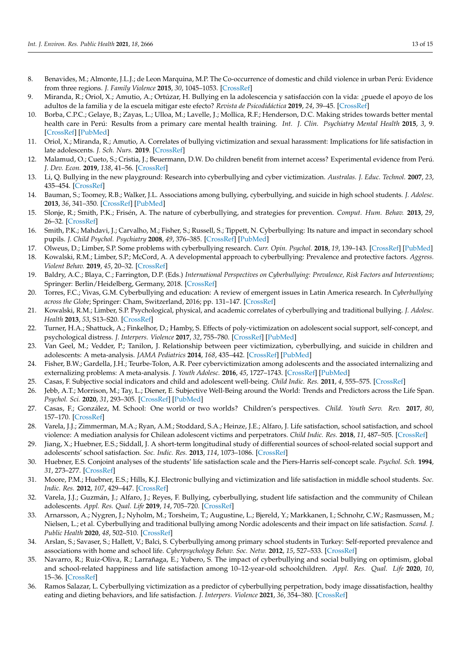- <span id="page-12-0"></span>8. Benavides, M.; Almonte, J.L.J.; de Leon Marquina, M.P. The Co-occurrence of domestic and child violence in urban Perú: Evidence from three regions. *J. Family Violence* **2015**, *30*, 1045–1053. [\[CrossRef\]](http://doi.org/10.1007/s10896-015-9745-3)
- <span id="page-12-1"></span>9. Miranda, R.; Oriol, X.; Amutio, A.; Ortúzar, H. Bullying en la adolescencia y satisfacción con la vida: ¿puede el apoyo de los adultos de la familia y de la escuela mitigar este efecto? *Revista de Psicodidáctica* **2019**, *24*, 39–45. [\[CrossRef\]](http://doi.org/10.1016/j.psicod.2018.07.001)
- <span id="page-12-2"></span>10. Borba, C.P.C.; Gelaye, B.; Zayas, L.; Ulloa, M.; Lavelle, J.; Mollica, R.F.; Henderson, D.C. Making strides towards better mental health care in Perú: Results from a primary care mental health training. *Int. J. Clin. Psychiatry Mental Health* **2015**, *3*, 9. [\[CrossRef\]](http://doi.org/10.12970/2310-8231.2015.03.01.3) [\[PubMed\]](http://www.ncbi.nlm.nih.gov/pubmed/27054141)
- <span id="page-12-3"></span>11. Oriol, X.; Miranda, R.; Amutio, A. Correlates of bullying victimization and sexual harassment: Implications for life satisfaction in late adolescents. *J. Sch. Nurs.* **2019**. [\[CrossRef\]](http://doi.org/10.1177/1059840519863845)
- <span id="page-12-4"></span>12. Malamud, O.; Cueto, S.; Cristia, J.; Beuermann, D.W. Do children benefit from internet access? Experimental evidence from Perú. *J. Dev. Econ.* **2019**, *138*, 41–56. [\[CrossRef\]](http://doi.org/10.1016/j.jdeveco.2018.11.005)
- <span id="page-12-5"></span>13. Li, Q. Bullying in the new playground: Research into cyberbullying and cyber victimization. *Australas. J. Educ. Technol.* **2007**, *23*, 435–454. [\[CrossRef\]](http://doi.org/10.14742/ajet.1245)
- <span id="page-12-6"></span>14. Bauman, S.; Toomey, R.B.; Walker, J.L. Associations among bullying, cyberbullying, and suicide in high school students. *J. Adolesc.* **2013**, *36*, 341–350. [\[CrossRef\]](http://doi.org/10.1016/j.adolescence.2012.12.001) [\[PubMed\]](http://www.ncbi.nlm.nih.gov/pubmed/23332116)
- <span id="page-12-7"></span>15. Slonje, R.; Smith, P.K.; Frisén, A. The nature of cyberbullying, and strategies for prevention. *Comput. Hum. Behav.* **2013**, *29*, 26–32. [\[CrossRef\]](http://doi.org/10.1016/j.chb.2012.05.024)
- <span id="page-12-8"></span>16. Smith, P.K.; Mahdavi, J.; Carvalho, M.; Fisher, S.; Russell, S.; Tippett, N. Cyberbullying: Its nature and impact in secondary school pupils. *J. Child Psychol. Psychiatry* **2008**, *49*, 376–385. [\[CrossRef\]](http://doi.org/10.1111/j.1469-7610.2007.01846.x) [\[PubMed\]](http://www.ncbi.nlm.nih.gov/pubmed/18363945)
- <span id="page-12-9"></span>17. Olweus, D.; Limber, S.P. Some problems with cyberbullying research. *Curr. Opin. Psychol.* **2018**, *19*, 139–143. [\[CrossRef\]](http://doi.org/10.1016/j.copsyc.2017.04.012) [\[PubMed\]](http://www.ncbi.nlm.nih.gov/pubmed/29279213)
- <span id="page-12-10"></span>18. Kowalski, R.M.; Limber, S.P.; McCord, A. A developmental approach to cyberbullying: Prevalence and protective factors. *Aggress. Violent Behav.* **2019**, *45*, 20–32. [\[CrossRef\]](http://doi.org/10.1016/j.avb.2018.02.009)
- <span id="page-12-11"></span>19. Baldry, A.C.; Blaya, C.; Farrington, D.P. (Eds.) *International Perspectives on Cyberbullying: Prevalence, Risk Factors and Interventions*; Springer: Berlin/Heidelberg, Germany, 2018. [\[CrossRef\]](http://doi.org/10.1007/978-3-319-73263-3)
- <span id="page-12-12"></span>20. Torres, F.C.; Vivas, G.M. Cyberbullying and education: A review of emergent issues in Latin America research. In *Cyberbullying across the Globe*; Springer: Cham, Switzerland, 2016; pp. 131–147. [\[CrossRef\]](http://doi.org/10.1007/978-3-319-25552-1_7)
- <span id="page-12-13"></span>21. Kowalski, R.M.; Limber, S.P. Psychological, physical, and academic correlates of cyberbullying and traditional bullying. *J. Adolesc. Health* **2013**, *53*, S13–S20. [\[CrossRef\]](http://doi.org/10.1016/j.jadohealth.2012.09.018)
- <span id="page-12-14"></span>22. Turner, H.A.; Shattuck, A.; Finkelhor, D.; Hamby, S. Effects of poly-victimization on adolescent social support, self-concept, and psychological distress. *J. Interpers. Violence* **2017**, *32*, 755–780. [\[CrossRef\]](http://doi.org/10.1177/0886260515586376) [\[PubMed\]](http://www.ncbi.nlm.nih.gov/pubmed/26033616)
- <span id="page-12-15"></span>23. Van Geel, M.; Vedder, P.; Tanilon, J. Relationship between peer victimization, cyberbullying, and suicide in children and adolescents: A meta-analysis. *JAMA Pediatrics* **2014**, *168*, 435–442. [\[CrossRef\]](http://doi.org/10.1001/jamapediatrics.2013.4143) [\[PubMed\]](http://www.ncbi.nlm.nih.gov/pubmed/24615300)
- <span id="page-12-16"></span>24. Fisher, B.W.; Gardella, J.H.; Teurbe-Tolon, A.R. Peer cybervictimization among adolescents and the associated internalizing and externalizing problems: A meta-analysis. *J. Youth Adolesc.* **2016**, *45*, 1727–1743. [\[CrossRef\]](http://doi.org/10.1007/s10964-016-0541-z) [\[PubMed\]](http://www.ncbi.nlm.nih.gov/pubmed/27447707)
- <span id="page-12-17"></span>25. Casas, F. Subjective social indicators and child and adolescent well-being. *Child Indic. Res.* **2011**, *4*, 555–575. [\[CrossRef\]](http://doi.org/10.1007/s12187-010-9093-z)
- <span id="page-12-18"></span>26. Jebb, A.T.; Morrison, M.; Tay, L.; Diener, E. Subjective Well-Being around the World: Trends and Predictors across the Life Span. *Psychol. Sci.* **2020**, *31*, 293–305. [\[CrossRef\]](http://doi.org/10.1177/0956797619898826) [\[PubMed\]](http://www.ncbi.nlm.nih.gov/pubmed/32045327)
- <span id="page-12-19"></span>27. Casas, F.; González, M. School: One world or two worlds? Children's perspectives. *Child. Youth Serv. Rev.* **2017**, *80*, 157–170. [\[CrossRef\]](http://doi.org/10.1016/j.childyouth.2017.06.054)
- <span id="page-12-20"></span>28. Varela, J.J.; Zimmerman, M.A.; Ryan, A.M.; Stoddard, S.A.; Heinze, J.E.; Alfaro, J. Life satisfaction, school satisfaction, and school violence: A mediation analysis for Chilean adolescent victims and perpetrators. *Child Indic. Res.* **2018**, *11*, 487–505. [\[CrossRef\]](http://doi.org/10.1007/s12187-016-9442-7)
- <span id="page-12-21"></span>29. Jiang, X.; Huebner, E.S.; Siddall, J. A short-term longitudinal study of differential sources of school-related social support and adolescents' school satisfaction. *Soc. Indic. Res.* **2013**, *114*, 1073–1086. [\[CrossRef\]](http://doi.org/10.1007/s11205-012-0190-x)
- <span id="page-12-22"></span>30. Huebner, E.S. Conjoint analyses of the students' life satisfaction scale and the Piers-Harris self-concept scale. *Psychol. Sch.* **1994**, *31*, 273–277. [\[CrossRef\]](http://doi.org/10.1002/1520-6807(199410)31:4<273::AID-PITS2310310404>3.0.CO;2-A)
- <span id="page-12-23"></span>31. Moore, P.M.; Huebner, E.S.; Hills, K.J. Electronic bullying and victimization and life satisfaction in middle school students. *Soc. Indic. Res.* **2012**, *107*, 429–447. [\[CrossRef\]](http://doi.org/10.1007/s11205-011-9856-z)
- <span id="page-12-26"></span>32. Varela, J.J.; Guzmán, J.; Alfaro, J.; Reyes, F. Bullying, cyberbullying, student life satisfaction and the community of Chilean adolescents. *Appl. Res. Qual. Life* **2019**, *14*, 705–720. [\[CrossRef\]](http://doi.org/10.1007/s11482-018-9610-7)
- <span id="page-12-24"></span>33. Arnarsson, A.; Nygren, J.; Nyholm, M.; Torsheim, T.; Augustine, L.; Bjereld, Y.; Markkanen, I.; Schnohr, C.W.; Rasmussen, M.; Nielsen, L.; et al. Cyberbullying and traditional bullying among Nordic adolescents and their impact on life satisfaction. *Scand. J. Public Health* **2020**, *48*, 502–510. [\[CrossRef\]](http://doi.org/10.1177/1403494818817411)
- <span id="page-12-25"></span>34. Arslan, S.; Savaser, S.; Hallett, V.; Balci, S. Cyberbullying among primary school students in Turkey: Self-reported prevalence and associations with home and school life. *Cyberpsychology Behav. Soc. Netw.* **2012**, *15*, 527–533. [\[CrossRef\]](http://doi.org/10.1089/cyber.2012.0207)
- 35. Navarro, R.; Ruiz-Oliva, R.; Larrañaga, E.; Yubero, S. The impact of cyberbullying and social bullying on optimism, global and school-related happiness and life satisfaction among 10–12-year-old schoolchildren. *Appl. Res. Qual. Life* **2020**, *10*, 15–36. [\[CrossRef\]](http://doi.org/10.1007/s11482-013-9292-0)
- 36. Ramos Salazar, L. Cyberbullying victimization as a predictor of cyberbullying perpetration, body image dissatisfaction, healthy eating and dieting behaviors, and life satisfaction. *J. Interpers. Violence* **2021**, *36*, 354–380. [\[CrossRef\]](http://doi.org/10.1177/0886260517725737)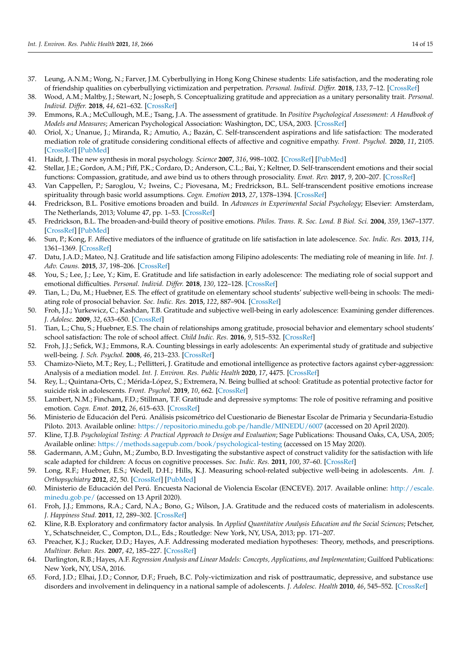- <span id="page-13-0"></span>37. Leung, A.N.M.; Wong, N.; Farver, J.M. Cyberbullying in Hong Kong Chinese students: Life satisfaction, and the moderating role of friendship qualities on cyberbullying victimization and perpetration. *Personal. Individ. Differ.* **2018**, *133*, 7–12. [\[CrossRef\]](http://doi.org/10.1016/j.paid.2017.07.016)
- <span id="page-13-1"></span>38. Wood, A.M.; Maltby, J.; Stewart, N.; Joseph, S. Conceptualizing gratitude and appreciation as a unitary personality trait. *Personal. Individ. Differ.* **2018**, *44*, 621–632. [\[CrossRef\]](http://doi.org/10.1016/j.paid.2007.09.028)
- <span id="page-13-2"></span>39. Emmons, R.A.; McCullough, M.E.; Tsang, J.A. The assessment of gratitude. In *Positive Psychological Assessment: A Handbook of Models and Measures*; American Psychological Association: Washington, DC, USA, 2003. [\[CrossRef\]](http://doi.org/10.1037/10612-021)
- <span id="page-13-3"></span>40. Oriol, X.; Unanue, J.; Miranda, R.; Amutio, A.; Bazán, C. Self-transcendent aspirations and life satisfaction: The moderated mediation role of gratitude considering conditional effects of affective and cognitive empathy. *Front. Psychol.* **2020**, *11*, 2105. [\[CrossRef\]](http://doi.org/10.3389/fpsyg.2020.02105) [\[PubMed\]](http://www.ncbi.nlm.nih.gov/pubmed/32982861)
- <span id="page-13-4"></span>41. Haidt, J. The new synthesis in moral psychology. *Science* **2007**, *316*, 998–1002. [\[CrossRef\]](http://doi.org/10.1126/science.1137651) [\[PubMed\]](http://www.ncbi.nlm.nih.gov/pubmed/17510357)
- <span id="page-13-5"></span>42. Stellar, J.E.; Gordon, A.M.; Piff, P.K.; Cordaro, D.; Anderson, C.L.; Bai, Y.; Keltner, D. Self-transcendent emotions and their social functions: Compassion, gratitude, and awe bind us to others through prosociality. *Emot. Rev.* **2017**, *9*, 200–207. [\[CrossRef\]](http://doi.org/10.1177/1754073916684557)
- <span id="page-13-6"></span>43. Van Cappellen, P.; Saroglou, V.; Iweins, C.; Piovesana, M.; Fredrickson, B.L. Self-transcendent positive emotions increase spirituality through basic world assumptions. *Cogn. Emotion* **2013**, *27*, 1378–1394. [\[CrossRef\]](http://doi.org/10.1080/02699931.2013.787395)
- <span id="page-13-7"></span>44. Fredrickson, B.L. Positive emotions broaden and build. In *Advances in Experimental Social Psychology*; Elsevier: Amsterdam, The Netherlands, 2013; Volume 47, pp. 1–53. [\[CrossRef\]](http://doi.org/10.1016/B978-0-12-407236-7.00001-2)
- <span id="page-13-8"></span>45. Fredrickson, B.L. The broaden-and-build theory of positive emotions. *Philos. Trans. R. Soc. Lond. B Biol. Sci.* **2004**, *359*, 1367–1377. [\[CrossRef\]](http://doi.org/10.1098/rstb.2004.1512) [\[PubMed\]](http://www.ncbi.nlm.nih.gov/pubmed/15347528)
- <span id="page-13-9"></span>46. Sun, P.; Kong, F. Affective mediators of the influence of gratitude on life satisfaction in late adolescence. *Soc. Indic. Res.* **2013**, *114*, 1361–1369. [\[CrossRef\]](http://doi.org/10.1007/s11205-013-0333-8)
- <span id="page-13-10"></span>47. Datu, J.A.D.; Mateo, N.J. Gratitude and life satisfaction among Filipino adolescents: The mediating role of meaning in life. *Int. J. Adv. Couns.* **2015**, *37*, 198–206. [\[CrossRef\]](http://doi.org/10.1007/s10447-015-9238-3)
- <span id="page-13-11"></span>48. You, S.; Lee, J.; Lee, Y.; Kim, E. Gratitude and life satisfaction in early adolescence: The mediating role of social support and emotional difficulties. *Personal. Individ. Differ.* **2018**, *130*, 122–128. [\[CrossRef\]](http://doi.org/10.1016/j.paid.2018.04.005)
- <span id="page-13-12"></span>49. Tian, L.; Du, M.; Huebner, E.S. The effect of gratitude on elementary school students' subjective well-being in schools: The mediating role of prosocial behavior. *Soc. Indic. Res.* **2015**, *122*, 887–904. [\[CrossRef\]](http://doi.org/10.1007/s11205-014-0712-9)
- <span id="page-13-13"></span>50. Froh, J.J.; Yurkewicz, C.; Kashdan, T.B. Gratitude and subjective well-being in early adolescence: Examining gender differences. *J. Adolesc.* **2009**, *32*, 633–650. [\[CrossRef\]](http://doi.org/10.1016/j.adolescence.2008.06.006)
- <span id="page-13-14"></span>51. Tian, L.; Chu, S.; Huebner, E.S. The chain of relationships among gratitude, prosocial behavior and elementary school students' school satisfaction: The role of school affect. *Child Indic. Res.* **2016**, *9*, 515–532. [\[CrossRef\]](http://doi.org/10.1007/s12187-015-9318-2)
- <span id="page-13-15"></span>52. Froh, J.J.; Sefick, W.J.; Emmons, R.A. Counting blessings in early adolescents: An experimental study of gratitude and subjective well-being. *J. Sch. Psychol.* **2008**, *46*, 213–233. [\[CrossRef\]](http://doi.org/10.1016/j.jsp.2007.03.005)
- <span id="page-13-16"></span>53. Chamizo-Nieto, M.T.; Rey, L.; Pellitteri, J. Gratitude and emotional intelligence as protective factors against cyber-aggression: Analysis of a mediation model. *Int. J. Environ. Res. Public Health* **2020**, *17*, 4475. [\[CrossRef\]](http://doi.org/10.3390/ijerph17124475)
- <span id="page-13-17"></span>54. Rey, L.; Quintana-Orts, C.; Mérida-López, S.; Extremera, N. Being bullied at school: Gratitude as potential protective factor for suicide risk in adolescents. *Front. Psychol.* **2019**, *10*, 662. [\[CrossRef\]](http://doi.org/10.3389/fpsyg.2019.00662)
- <span id="page-13-18"></span>55. Lambert, N.M.; Fincham, F.D.; Stillman, T.F. Gratitude and depressive symptoms: The role of positive reframing and positive emotion. *Cogn. Emot.* **2012**, *26*, 615–633. [\[CrossRef\]](http://doi.org/10.1080/02699931.2011.595393)
- <span id="page-13-19"></span>56. Ministerio de Educación del Perú. Análisis psicométrico del Cuestionario de Bienestar Escolar de Primaria y Secundaria-Estudio Piloto. 2013. Available online: <https://repositorio.minedu.gob.pe/handle/MINEDU/6007> (accessed on 20 April 2020).
- <span id="page-13-20"></span>57. Kline, T.J.B. *Psychological Testing: A Practical Approach to Design and Evaluation*; Sage Publications: Thousand Oaks, CA, USA, 2005; Available online: <https://methods.sagepub.com/book/psychological-testing> (accessed on 15 May 2020).
- <span id="page-13-21"></span>58. Gadermann, A.M.; Guhn, M.; Zumbo, B.D. Investigating the substantive aspect of construct validity for the satisfaction with life scale adapted for children: A focus on cognitive processes. *Soc. Indic. Res.* **2011**, *100*, 37–60. [\[CrossRef\]](http://doi.org/10.1007/s11205-010-9603-x)
- <span id="page-13-22"></span>59. Long, R.F.; Huebner, E.S.; Wedell, D.H.; Hills, K.J. Measuring school-related subjective well-being in adolescents. *Am. J. Orthopsychiatry* **2012**, *82*, 50. [\[CrossRef\]](http://doi.org/10.1111/j.1939-0025.2011.01130.x) [\[PubMed\]](http://www.ncbi.nlm.nih.gov/pubmed/22239393)
- <span id="page-13-23"></span>60. Ministerio de Educación del Perú. Encuesta Nacional de Violencia Escolar (ENCEVE). 2017. Available online: [http://escale.](http://escale.minedu.gob.pe/) [minedu.gob.pe/](http://escale.minedu.gob.pe/) (accessed on 13 April 2020).
- <span id="page-13-24"></span>61. Froh, J.J.; Emmons, R.A.; Card, N.A.; Bono, G.; Wilson, J.A. Gratitude and the reduced costs of materialism in adolescents. *J. Happiness Stud.* **2011**, *12*, 289–302. [\[CrossRef\]](http://doi.org/10.1007/s10902-010-9195-9)
- <span id="page-13-25"></span>62. Kline, R.B. Exploratory and confirmatory factor analysis. In *Applied Quantitative Analysis Education and the Social Sciences*; Petscher, Y., Schatschneider, C., Compton, D.L., Eds.; Routledge: New York, NY, USA, 2013; pp. 171–207.
- <span id="page-13-26"></span>63. Preacher, K.J.; Rucker, D.D.; Hayes, A.F. Addressing moderated mediation hypotheses: Theory, methods, and prescriptions. *Multivar. Behav. Res.* **2007**, *42*, 185–227. [\[CrossRef\]](http://doi.org/10.1080/00273170701341316)
- <span id="page-13-27"></span>64. Darlington, R.B.; Hayes, A.F. *Regression Analysis and Linear Models: Concepts, Applications, and Implementation*; Guilford Publications: New York, NY, USA, 2016.
- <span id="page-13-28"></span>65. Ford, J.D.; Elhai, J.D.; Connor, D.F.; Frueh, B.C. Poly-victimization and risk of posttraumatic, depressive, and substance use disorders and involvement in delinquency in a national sample of adolescents. *J. Adolesc. Health* **2010**, *46*, 545–552. [\[CrossRef\]](http://doi.org/10.1016/j.jadohealth.2009.11.212)